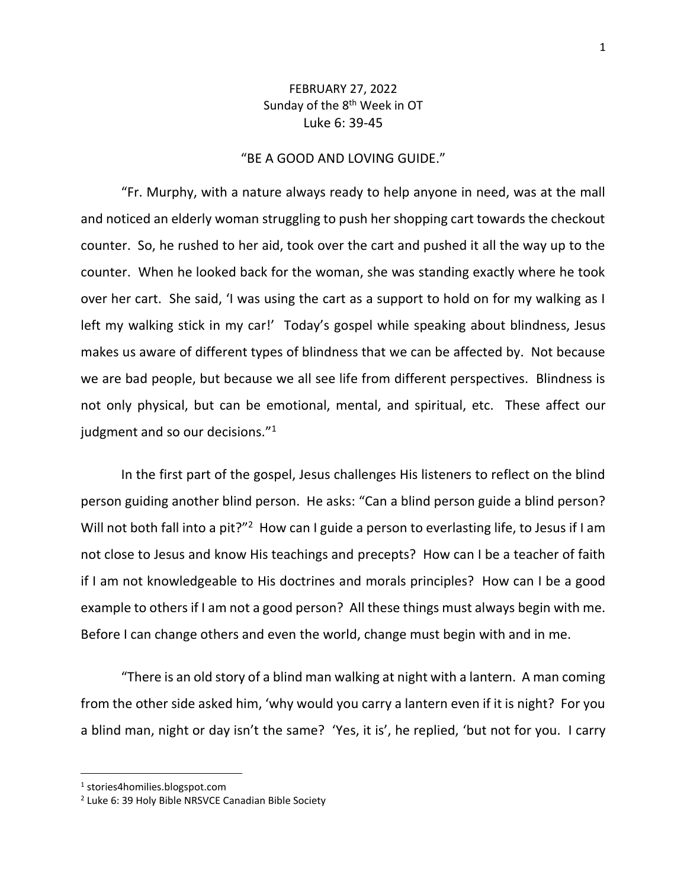## FEBRUARY 27, 2022 Sunday of the 8<sup>th</sup> Week in OT Luke 6: 39-45

## "BE A GOOD AND LOVING GUIDE."

"Fr. Murphy, with a nature always ready to help anyone in need, was at the mall and noticed an elderly woman struggling to push her shopping cart towards the checkout counter. So, he rushed to her aid, took over the cart and pushed it all the way up to the counter. When he looked back for the woman, she was standing exactly where he took over her cart. She said, 'I was using the cart as a support to hold on for my walking as I left my walking stick in my car!' Today's gospel while speaking about blindness, Jesus makes us aware of different types of blindness that we can be affected by. Not because we are bad people, but because we all see life from different perspectives. Blindness is not only physical, but can be emotional, mental, and spiritual, etc. These affect our judgment and so our decisions."<sup>1</sup>

In the first part of the gospel, Jesus challenges His listeners to reflect on the blind person guiding another blind person. He asks: "Can a blind person guide a blind person? Will not both fall into a pit?"<sup>2</sup> How can I guide a person to everlasting life, to Jesus if I am not close to Jesus and know His teachings and precepts? How can I be a teacher of faith if I am not knowledgeable to His doctrines and morals principles? How can I be a good example to others if I am not a good person? All these things must always begin with me. Before I can change others and even the world, change must begin with and in me.

"There is an old story of a blind man walking at night with a lantern. A man coming from the other side asked him, 'why would you carry a lantern even if it is night? For you a blind man, night or day isn't the same? 'Yes, it is', he replied, 'but not for you. I carry

<sup>1</sup> stories4homilies.blogspot.com

<sup>&</sup>lt;sup>2</sup> Luke 6: 39 Holy Bible NRSVCE Canadian Bible Society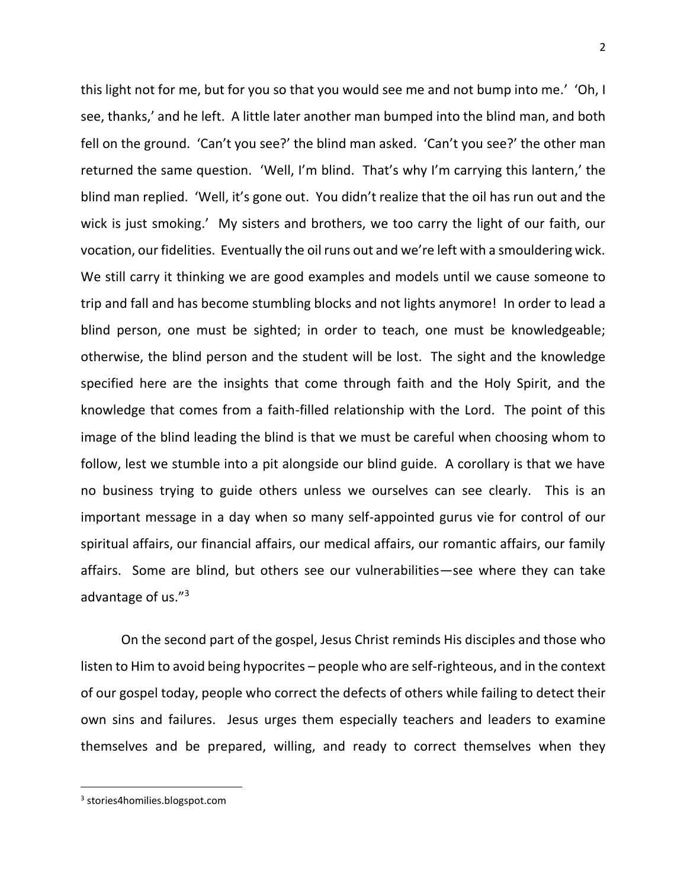this light not for me, but for you so that you would see me and not bump into me.' 'Oh, I see, thanks,' and he left. A little later another man bumped into the blind man, and both fell on the ground. 'Can't you see?' the blind man asked. 'Can't you see?' the other man returned the same question. 'Well, I'm blind. That's why I'm carrying this lantern,' the blind man replied. 'Well, it's gone out. You didn't realize that the oil has run out and the wick is just smoking.' My sisters and brothers, we too carry the light of our faith, our vocation, our fidelities. Eventually the oil runs out and we're left with a smouldering wick. We still carry it thinking we are good examples and models until we cause someone to trip and fall and has become stumbling blocks and not lights anymore! In order to lead a blind person, one must be sighted; in order to teach, one must be knowledgeable; otherwise, the blind person and the student will be lost. The sight and the knowledge specified here are the insights that come through faith and the Holy Spirit, and the knowledge that comes from a faith-filled relationship with the Lord. The point of this image of the blind leading the blind is that we must be careful when choosing whom to follow, lest we stumble into a pit alongside our blind guide. A corollary is that we have no business trying to guide others unless we ourselves can see clearly. This is an important message in a day when so many self-appointed gurus vie for control of our spiritual affairs, our financial affairs, our medical affairs, our romantic affairs, our family affairs. Some are blind, but others see our vulnerabilities—see where they can take advantage of us."<sup>3</sup>

On the second part of the gospel, Jesus Christ reminds His disciples and those who listen to Him to avoid being hypocrites – people who are self-righteous, and in the context of our gospel today, people who correct the defects of others while failing to detect their own sins and failures. Jesus urges them especially teachers and leaders to examine themselves and be prepared, willing, and ready to correct themselves when they

<sup>3</sup> stories4homilies.blogspot.com